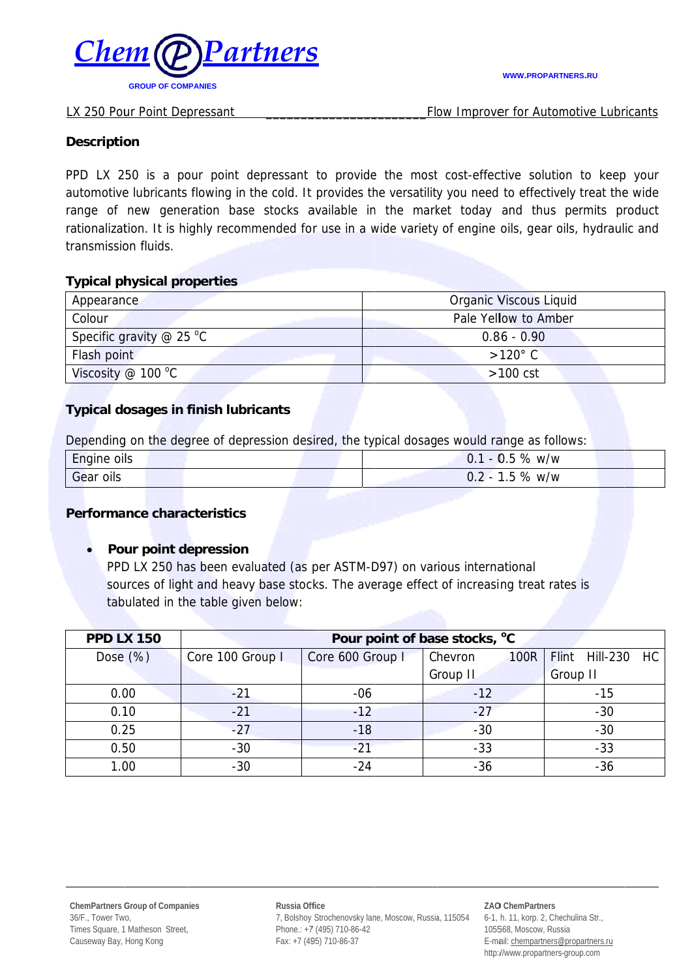

Flow Improver for Automotive Lubricants

### **Description**

PPD LX 250 is a pour point depressant to provide the most cost-effective solution to keep your automotive lubricants flowing in the cold. It provides the versatility you need to effectively treat the wide range of new generation base stocks available in the market today and thus permits product rationalization. It is highly recommended for use in a wide variety of engine oils, gear oils, hydraulic and transmission fluids.

### **Typical physical properties**

| Appearance                      | Organic Viscous Liquid |  |
|---------------------------------|------------------------|--|
| Colour                          | Pale Yellow to Amber   |  |
| Specific gravity $\omega$ 25 °C | $0.86 - 0.90$          |  |
| Flash point                     | $>120^{\circ}$ C       |  |
| Viscosity @ 100 $^{\circ}$ C    | $>100$ cst             |  |

# **Typical dosages in finish lubricants**

Depending on the degree of depression desired, the typical dosages would range as follows:

| Engine oils | %<br>w/w<br>υ.<br><b>5</b> |
|-------------|----------------------------|
| Gear oils   | %<br>$0.2 -$<br>∽<br>w/w   |

### **Performance characteristics**

### Pour point depression

PPD LX 250 has been evaluated (as per ASTM-D97) on various international sources of light and heavy base stocks. The average effect of increasing treat rates is tabulated in the table given below:

| <b>PPD LX 150</b> | Pour point of base stocks, °C |                  |                        |                             |
|-------------------|-------------------------------|------------------|------------------------|-----------------------------|
| Dose $(\%)$       | Core 100 Group I              | Core 600 Group I | Chevron<br><b>100R</b> | Flint Hill-230<br><b>HC</b> |
|                   |                               |                  | Group II               | Group II                    |
| 0.00              | $-21$                         | $-06$            | $-12$                  | $-15$                       |
| 0.10              | $-21$                         | $-12$            | $-27$                  | $-30$                       |
| 0.25              | $-27$                         | $-18$            | $-30$                  | $-30$                       |
| 0.50              | $-30$                         | $-21$            | $-33$                  | $-33$                       |
| 1.00              | $-30$                         | $-24$            | $-36$                  | $-36$                       |

Russia Office 7, Bolshoy Strochenovsky lane, Moscow, Russia, 115054 Phone.: +7 (495) 710-86-42 Fax: +7 (495) 710-86-37

#### ZAO ChemPartners 6-1, h. 11, korp. 2, Chechulina Str., 105568, Moscow, Russia E-mail: chempartners@propartners.ru http://www.propartners-group.com